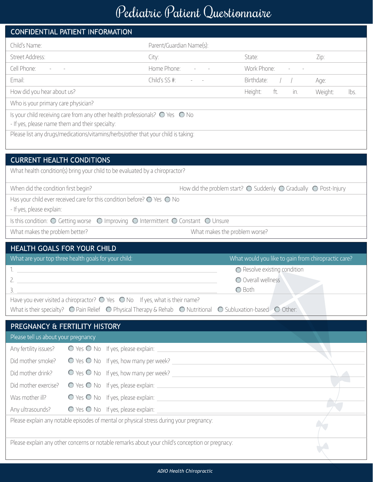## Pediatric Patient Questionnaire

|                                                                              | <b>CONFIDENTIAL PATIENT INFORMATION</b>                                                        |                                                                                                                                                                                            |                                                                                            |                 |  |
|------------------------------------------------------------------------------|------------------------------------------------------------------------------------------------|--------------------------------------------------------------------------------------------------------------------------------------------------------------------------------------------|--------------------------------------------------------------------------------------------|-----------------|--|
| Child's Name:                                                                |                                                                                                | Parent/Guardian Name(s):                                                                                                                                                                   |                                                                                            |                 |  |
| Street Address:                                                              |                                                                                                | City:                                                                                                                                                                                      | State:                                                                                     | Zip:            |  |
| Cell Phone:<br><b>Contract Contract</b>                                      |                                                                                                | Home Phone: Fig. 2014                                                                                                                                                                      | Work Phone:                                                                                |                 |  |
| Email:                                                                       |                                                                                                | Child's SS #:                                                                                                                                                                              | Birthdate:                                                                                 | Age:            |  |
| How did you hear about us?                                                   |                                                                                                |                                                                                                                                                                                            | Height:<br>ft.<br>in.                                                                      | Weight:<br>lbs. |  |
| Who is your primary care physician?                                          |                                                                                                |                                                                                                                                                                                            |                                                                                            |                 |  |
| - If yes, please name them and their specialty:                              | Is your child receiving care from any other health professionals? $\bigcirc$ Yes $\bigcirc$ No |                                                                                                                                                                                            |                                                                                            |                 |  |
|                                                                              | Please list any drugs/medications/vitamins/herbs/other that your child is taking:              |                                                                                                                                                                                            |                                                                                            |                 |  |
|                                                                              |                                                                                                |                                                                                                                                                                                            |                                                                                            |                 |  |
| <b>CURRENT HEALTH CONDITIONS</b>                                             |                                                                                                |                                                                                                                                                                                            |                                                                                            |                 |  |
| What health condition(s) bring your child to be evaluated by a chiropractor? |                                                                                                |                                                                                                                                                                                            |                                                                                            |                 |  |
| When did the condition first begin?                                          |                                                                                                |                                                                                                                                                                                            | How did the problem start? $\bigcirc$ Suddenly $\bigcirc$ Gradually $\bigcirc$ Post-Injury |                 |  |
|                                                                              | Has your child ever received care for this condition before? $\bigcirc$ Yes $\bigcirc$ No      |                                                                                                                                                                                            |                                                                                            |                 |  |
| - If yes, please explain:                                                    |                                                                                                |                                                                                                                                                                                            |                                                                                            |                 |  |
| Is this condition: $\bigcirc$ Getting worse                                  |                                                                                                | ○ Improving ○ Intermittent ○ Constant ○ Unsure                                                                                                                                             |                                                                                            |                 |  |
| What makes the problem better?<br>What makes the problem worse?              |                                                                                                |                                                                                                                                                                                            |                                                                                            |                 |  |
|                                                                              |                                                                                                |                                                                                                                                                                                            |                                                                                            |                 |  |
| <b>HEALTH GOALS FOR YOUR CHILD</b>                                           |                                                                                                |                                                                                                                                                                                            |                                                                                            |                 |  |
|                                                                              | What are your top three health goals for your child:                                           |                                                                                                                                                                                            | What would you like to gain from chiropractic care?                                        |                 |  |
|                                                                              |                                                                                                |                                                                                                                                                                                            | ◯ Resolve existing condition                                                               |                 |  |
|                                                                              |                                                                                                |                                                                                                                                                                                            | O Overall wellness                                                                         |                 |  |
| 3.                                                                           |                                                                                                |                                                                                                                                                                                            | O Both                                                                                     |                 |  |
|                                                                              | Have you ever visited a chiropractor? $\bigcirc$ Yes $\bigcirc$ No If yes, what is their name? |                                                                                                                                                                                            |                                                                                            |                 |  |
|                                                                              |                                                                                                | What is their specialty? $\bigcirc$ Pain Relief $\bigcirc$ Physical Therapy & Rehab $\bigcirc$ Nutritional $\bigcirc$ Subluxation-based $\bigcirc$ Other:                                  |                                                                                            |                 |  |
|                                                                              | PREGNANCY & FERTILITY HISTORY                                                                  |                                                                                                                                                                                            |                                                                                            |                 |  |
| Please tell us about your pregnancy                                          |                                                                                                |                                                                                                                                                                                            |                                                                                            |                 |  |
| Any fertility issues?                                                        |                                                                                                |                                                                                                                                                                                            |                                                                                            |                 |  |
| Did mother smoke?                                                            |                                                                                                |                                                                                                                                                                                            |                                                                                            |                 |  |
| Did mother drink?                                                            |                                                                                                |                                                                                                                                                                                            |                                                                                            |                 |  |
| Did mother exercise?                                                         |                                                                                                |                                                                                                                                                                                            |                                                                                            |                 |  |
| Was mother ill?                                                              |                                                                                                |                                                                                                                                                                                            |                                                                                            |                 |  |
| Any ultrasounds?                                                             |                                                                                                |                                                                                                                                                                                            |                                                                                            |                 |  |
|                                                                              |                                                                                                | Please explain any notable episodes of mental or physical stress during your pregnancy:<br>Please explain any other concerns or notable remarks about your child's conception or pregnacy: |                                                                                            |                 |  |